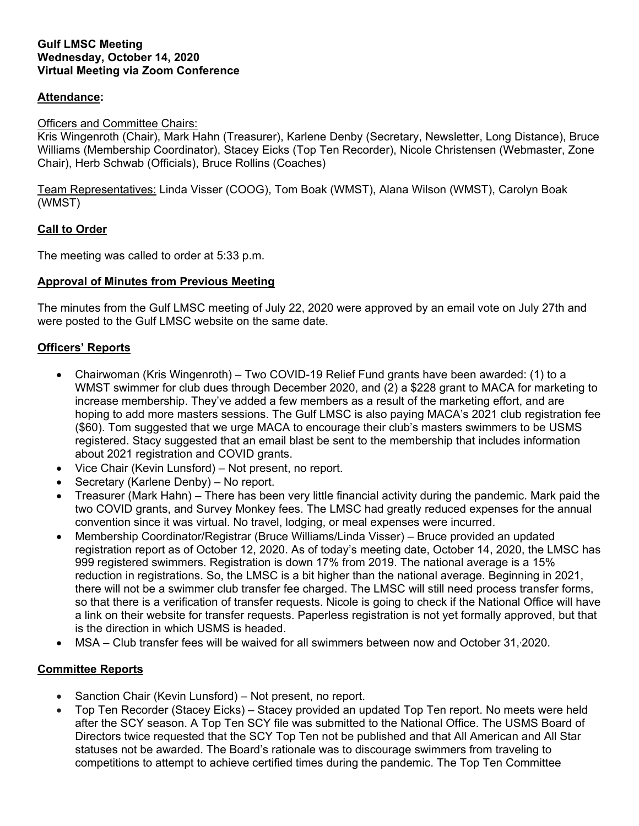#### **Gulf LMSC Meeting Wednesday, October 14, 2020 Virtual Meeting via Zoom Conference**

### **Attendance:**

#### Officers and Committee Chairs:

Kris Wingenroth (Chair), Mark Hahn (Treasurer), Karlene Denby (Secretary, Newsletter, Long Distance), Bruce Williams (Membership Coordinator), Stacey Eicks (Top Ten Recorder), Nicole Christensen (Webmaster, Zone Chair), Herb Schwab (Officials), Bruce Rollins (Coaches)

Team Representatives: Linda Visser (COOG), Tom Boak (WMST), Alana Wilson (WMST), Carolyn Boak (WMST)

### **Call to Order**

The meeting was called to order at 5:33 p.m.

#### **Approval of Minutes from Previous Meeting**

The minutes from the Gulf LMSC meeting of July 22, 2020 were approved by an email vote on July 27th and were posted to the Gulf LMSC website on the same date.

### **Officers' Reports**

- Chairwoman (Kris Wingenroth) Two COVID-19 Relief Fund grants have been awarded: (1) to a WMST swimmer for club dues through December 2020, and (2) a \$228 grant to MACA for marketing to increase membership. They've added a few members as a result of the marketing effort, and are hoping to add more masters sessions. The Gulf LMSC is also paying MACA's 2021 club registration fee (\$60). Tom suggested that we urge MACA to encourage their club's masters swimmers to be USMS registered. Stacy suggested that an email blast be sent to the membership that includes information about 2021 registration and COVID grants.
- Vice Chair (Kevin Lunsford) Not present, no report.
- Secretary (Karlene Denby) No report.
- Treasurer (Mark Hahn) There has been very little financial activity during the pandemic. Mark paid the two COVID grants, and Survey Monkey fees. The LMSC had greatly reduced expenses for the annual convention since it was virtual. No travel, lodging, or meal expenses were incurred.
- Membership Coordinator/Registrar (Bruce Williams/Linda Visser) Bruce provided an updated registration report as of October 12, 2020. As of today's meeting date, October 14, 2020, the LMSC has 999 registered swimmers. Registration is down 17% from 2019. The national average is a 15% reduction in registrations. So, the LMSC is a bit higher than the national average. Beginning in 2021, there will not be a swimmer club transfer fee charged. The LMSC will still need process transfer forms, so that there is a verification of transfer requests. Nicole is going to check if the National Office will have a link on their website for transfer requests. Paperless registration is not yet formally approved, but that is the direction in which USMS is headed.
- MSA Club transfer fees will be waived for all swimmers between now and October 31, 2020.

### **Committee Reports**

- Sanction Chair (Kevin Lunsford) Not present, no report.
- Top Ten Recorder (Stacey Eicks) Stacey provided an updated Top Ten report. No meets were held after the SCY season. A Top Ten SCY file was submitted to the National Office. The USMS Board of Directors twice requested that the SCY Top Ten not be published and that All American and All Star statuses not be awarded. The Board's rationale was to discourage swimmers from traveling to competitions to attempt to achieve certified times during the pandemic. The Top Ten Committee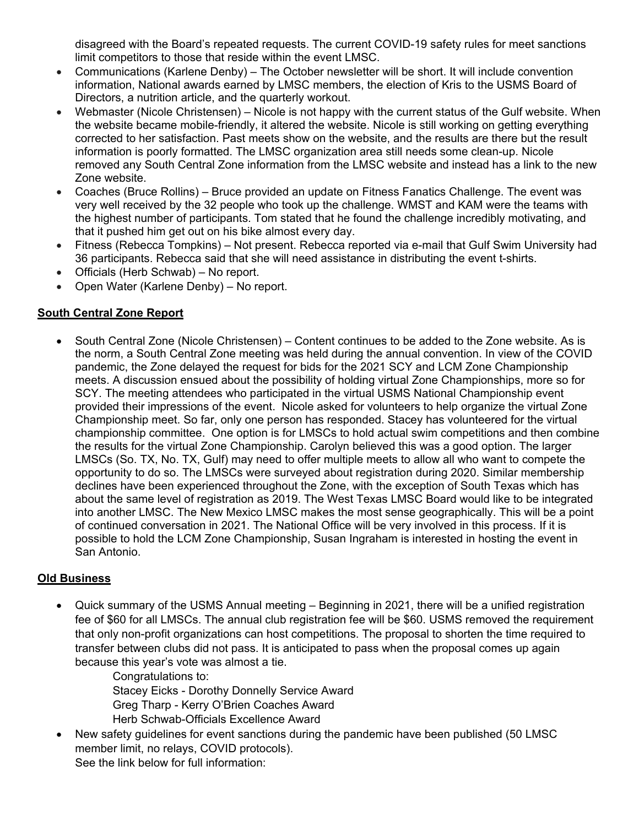disagreed with the Board's repeated requests. The current COVID-19 safety rules for meet sanctions limit competitors to those that reside within the event LMSC.

- Communications (Karlene Denby) The October newsletter will be short. It will include convention information, National awards earned by LMSC members, the election of Kris to the USMS Board of Directors, a nutrition article, and the quarterly workout.
- Webmaster (Nicole Christensen) Nicole is not happy with the current status of the Gulf website. When the website became mobile-friendly, it altered the website. Nicole is still working on getting everything corrected to her satisfaction. Past meets show on the website, and the results are there but the result information is poorly formatted. The LMSC organization area still needs some clean-up. Nicole removed any South Central Zone information from the LMSC website and instead has a link to the new Zone website.
- Coaches (Bruce Rollins) Bruce provided an update on Fitness Fanatics Challenge. The event was very well received by the 32 people who took up the challenge. WMST and KAM were the teams with the highest number of participants. Tom stated that he found the challenge incredibly motivating, and that it pushed him get out on his bike almost every day.
- Fitness (Rebecca Tompkins) Not present. Rebecca reported via e-mail that Gulf Swim University had 36 participants. Rebecca said that she will need assistance in distributing the event t-shirts.
- Officials (Herb Schwab) No report.
- Open Water (Karlene Denby) No report.

# **South Central Zone Report**

 South Central Zone (Nicole Christensen) – Content continues to be added to the Zone website. As is the norm, a South Central Zone meeting was held during the annual convention. In view of the COVID pandemic, the Zone delayed the request for bids for the 2021 SCY and LCM Zone Championship meets. A discussion ensued about the possibility of holding virtual Zone Championships, more so for SCY. The meeting attendees who participated in the virtual USMS National Championship event provided their impressions of the event. Nicole asked for volunteers to help organize the virtual Zone Championship meet. So far, only one person has responded. Stacey has volunteered for the virtual championship committee. One option is for LMSCs to hold actual swim competitions and then combine the results for the virtual Zone Championship. Carolyn believed this was a good option. The larger LMSCs (So. TX, No. TX, Gulf) may need to offer multiple meets to allow all who want to compete the opportunity to do so. The LMSCs were surveyed about registration during 2020. Similar membership declines have been experienced throughout the Zone, with the exception of South Texas which has about the same level of registration as 2019. The West Texas LMSC Board would like to be integrated into another LMSC. The New Mexico LMSC makes the most sense geographically. This will be a point of continued conversation in 2021. The National Office will be very involved in this process. If it is possible to hold the LCM Zone Championship, Susan Ingraham is interested in hosting the event in San Antonio.

# **Old Business**

 Quick summary of the USMS Annual meeting – Beginning in 2021, there will be a unified registration fee of \$60 for all LMSCs. The annual club registration fee will be \$60. USMS removed the requirement that only non-profit organizations can host competitions. The proposal to shorten the time required to transfer between clubs did not pass. It is anticipated to pass when the proposal comes up again because this year's vote was almost a tie.

Congratulations to: Stacey Eicks - Dorothy Donnelly Service Award Greg Tharp - Kerry O'Brien Coaches Award Herb Schwab-Officials Excellence Award

 New safety guidelines for event sanctions during the pandemic have been published (50 LMSC member limit, no relays, COVID protocols). See the link below for full information: